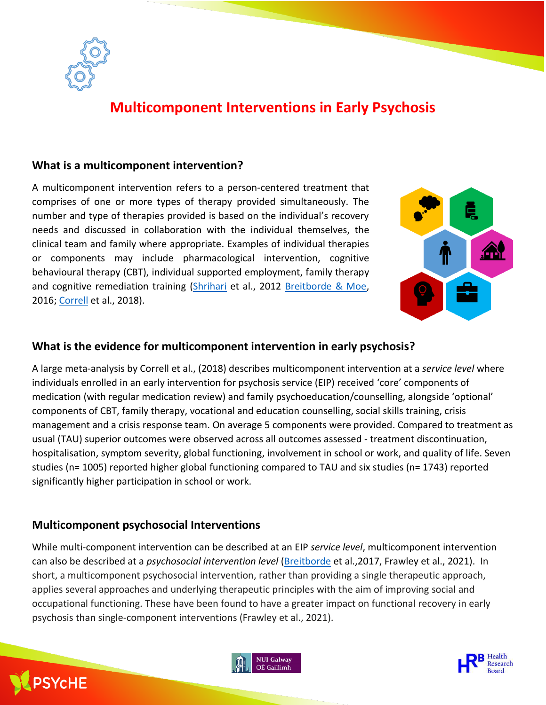

## **Multicomponent Interventions in Early Psychosis**

## **What is a multicomponent intervention?**

A multicomponent intervention refers to a person-centered treatment that comprises of one or more types of therapy provided simultaneously. The number and type of therapies provided is based on the individual's recovery needs and discussed in collaboration with the individual themselves, the clinical team and family where appropriate. Examples of individual therapies or components may include pharmacological intervention, cognitive behavioural therapy (CBT), individual supported employment, family therapy and cognitive remediation training [\(Shrihari](https://pubmed.ncbi.nlm.nih.gov/22929869/) et al., 2012 [Breitborde & Moe,](https://pubmed.ncbi.nlm.nih.gov/28490910/) 2016; [Correll](https://pubmed.ncbi.nlm.nih.gov/29800949/) et al., 2018).



### **What is the evidence for multicomponent intervention in early psychosis?**

A large meta-analysis by Correll et al., (2018) describes multicomponent intervention at a *service level* where individuals enrolled in an early intervention for psychosis service (EIP) received 'core' components of medication (with regular medication review) and family psychoeducation/counselling, alongside 'optional' components of CBT, family therapy, vocational and education counselling, social skills training, crisis management and a crisis response team. On average 5 components were provided. Compared to treatment as usual (TAU) superior outcomes were observed across all outcomes assessed - treatment discontinuation, hospitalisation, symptom severity, global functioning, involvement in school or work, and quality of life. Seven studies (n= 1005) reported higher global functioning compared to TAU and six studies (n= 1743) reported significantly higher participation in school or work.

## **Multicomponent psychosocial Interventions**

ì

**PSYCHE** 

While multi-component intervention can be described at an EIP *service level*, multicomponent intervention can also be described at a *psychosocial intervention level* [\(Breitborde](https://pubmed.ncbi.nlm.nih.gov/28490910/) et al.,2017, Frawley et al., 2021). In short, a multicomponent psychosocial intervention, rather than providing a single therapeutic approach, applies several approaches and underlying therapeutic principles with the aim of improving social and occupational functioning. These have been found to have a greater impact on functional recovery in early psychosis than single-component interventions (Frawley et al., 2021).